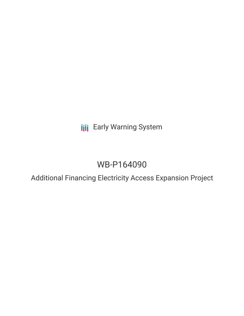**III** Early Warning System

# WB-P164090

Additional Financing Electricity Access Expansion Project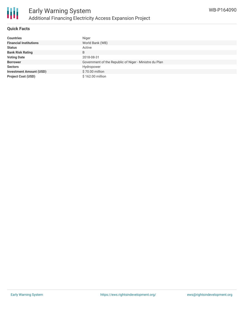

### **Quick Facts**

| <b>Countries</b>               | Niger                                                  |
|--------------------------------|--------------------------------------------------------|
| <b>Financial Institutions</b>  | World Bank (WB)                                        |
| <b>Status</b>                  | Active                                                 |
| <b>Bank Risk Rating</b>        | B                                                      |
| <b>Voting Date</b>             | 2018-08-31                                             |
| <b>Borrower</b>                | Government of the Republic of Niger - Ministre du Plan |
| <b>Sectors</b>                 | Hydropower                                             |
| <b>Investment Amount (USD)</b> | \$70.00 million                                        |
| <b>Project Cost (USD)</b>      | \$162.00 million                                       |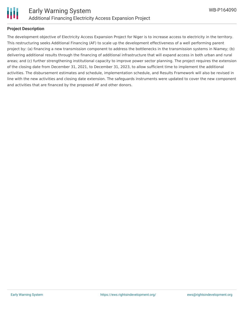

#### **Project Description**

The development objective of Electricity Access Expansion Project for Niger is to increase access to electricity in the territory. This restructuring seeks Additional Financing (AF) to scale up the development effectiveness of a well performing parent project by: (a) financing a new transmission component to address the bottlenecks in the transmission systems in Niamey; (b) delivering additional results through the financing of additional infrastructure that will expand access in both urban and rural areas; and (c) further strengthening institutional capacity to improve power sector planning. The project requires the extension of the closing date from December 31, 2021, to December 31, 2023, to allow sufficient time to implement the additional activities. The disbursement estimates and schedule, implementation schedule, and Results Framework will also be revised in line with the new activities and closing date extension. The safeguards instruments were updated to cover the new component and activities that are financed by the proposed AF and other donors.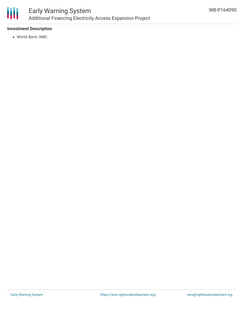

## **Investment Description**

World Bank (WB)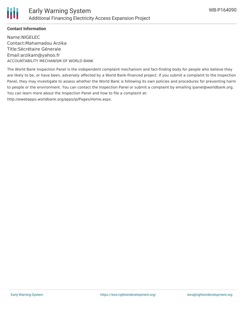

## **Contact Information**

Name:NIGELEC Contact:Mahamadou Arzika Title:Sécrétaire Génerale Email:arzikam@yahoo.fr ACCOUNTABILITY MECHANISM OF WORLD BANK

The World Bank Inspection Panel is the independent complaint mechanism and fact-finding body for people who believe they are likely to be, or have been, adversely affected by a World Bank-financed project. If you submit a complaint to the Inspection Panel, they may investigate to assess whether the World Bank is following its own policies and procedures for preventing harm to people or the environment. You can contact the Inspection Panel or submit a complaint by emailing ipanel@worldbank.org. You can learn more about the Inspection Panel and how to file a complaint at: http://ewebapps.worldbank.org/apps/ip/Pages/Home.aspx.